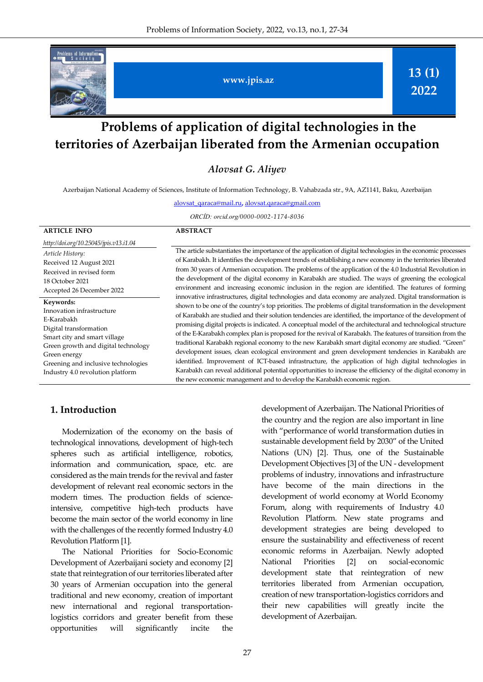

# **Problems of application of digital technologies in the territories of Azerbaijan liberated from the Armenian occupation**

*Alovsat G. Aliyev*

Azerbaijan National Academy of Sciences, Institute of Information Technology, B. Vahabzada str., 9A, AZ1141, Baku, Azerbaijan

[alovsat\\_qaraca@mail.ru](mailto:alovsat_qaraca@mail.ru)**,** alovsat.qaraca@gmail.com

*ORCİD: orcid.org/0000-0002-1174-8036*

| <b>ARTICLE INFO</b>                                                                                                                                                                                                                              | <b>ABSTRACT</b>                                                                                                                                                                                                                                                                                                                                                                                                                                                                                                                                                                                                                                                                                                                                                                                                                                                                                                                                                                                                                                                                                                                                                                                                                                                                                                                                                                                                                                                                                                                                                                                                                                  |
|--------------------------------------------------------------------------------------------------------------------------------------------------------------------------------------------------------------------------------------------------|--------------------------------------------------------------------------------------------------------------------------------------------------------------------------------------------------------------------------------------------------------------------------------------------------------------------------------------------------------------------------------------------------------------------------------------------------------------------------------------------------------------------------------------------------------------------------------------------------------------------------------------------------------------------------------------------------------------------------------------------------------------------------------------------------------------------------------------------------------------------------------------------------------------------------------------------------------------------------------------------------------------------------------------------------------------------------------------------------------------------------------------------------------------------------------------------------------------------------------------------------------------------------------------------------------------------------------------------------------------------------------------------------------------------------------------------------------------------------------------------------------------------------------------------------------------------------------------------------------------------------------------------------|
| http://doi.org/10.25045/jpis.v13.i1.04                                                                                                                                                                                                           |                                                                                                                                                                                                                                                                                                                                                                                                                                                                                                                                                                                                                                                                                                                                                                                                                                                                                                                                                                                                                                                                                                                                                                                                                                                                                                                                                                                                                                                                                                                                                                                                                                                  |
| Article History:<br>Received 12 August 2021<br>Received in revised form<br>18 October 2021<br>Accepted 26 December 2022                                                                                                                          | The article substantiates the importance of the application of digital technologies in the economic processes<br>of Karabakh. It identifies the development trends of establishing a new economy in the territories liberated<br>from 30 years of Armenian occupation. The problems of the application of the 4.0 Industrial Revolution in<br>the development of the digital economy in Karabakh are studied. The ways of greening the ecological<br>environment and increasing economic inclusion in the region are identified. The features of forming<br>innovative infrastructures, digital technologies and data economy are analyzed. Digital transformation is<br>shown to be one of the country's top priorities. The problems of digital transformation in the development<br>of Karabakh are studied and their solution tendencies are identified, the importance of the development of<br>promising digital projects is indicated. A conceptual model of the architectural and technological structure<br>of the E-Karabakh complex plan is proposed for the revival of Karabakh. The features of transition from the<br>traditional Karabakh regional economy to the new Karabakh smart digital economy are studied. "Green"<br>development issues, clean ecological environment and green development tendencies in Karabakh are<br>identified. Improvement of ICT-based infrastructure, the application of high digital technologies in<br>Karabakh can reveal additional potential opportunities to increase the efficiency of the digital economy in<br>the new economic management and to develop the Karabakh economic region. |
| Keywords:<br>Innovation infrastructure<br>E-Karabakh<br>Digital transformation<br>Smart city and smart village<br>Green growth and digital technology<br>Green energy<br>Greening and inclusive technologies<br>Industry 4.0 revolution platform |                                                                                                                                                                                                                                                                                                                                                                                                                                                                                                                                                                                                                                                                                                                                                                                                                                                                                                                                                                                                                                                                                                                                                                                                                                                                                                                                                                                                                                                                                                                                                                                                                                                  |

#### **1. Introduction**

Modernization of the economy on the basis of technological innovations, development of high-tech spheres such as artificial intelligence, robotics, information and communication, space, etc. are considered as the main trends for the revival and faster development of relevant real economic sectors in the modern times. The production fields of scienceintensive, competitive high-tech products have become the main sector of the world economy in line with the challenges of the recently formed Industry 4.0 Revolution Platform [1].

The National Priorities for Socio-Economic Development of Azerbaijani society and economy [2] state that reintegration of our territories liberated after 30 years of Armenian occupation into the general traditional and new economy, creation of important new international and regional transportationlogistics corridors and greater benefit from these opportunities will significantly incite the

development of Azerbaijan. The National Priorities of the country and the region are also important in line with "performance of world transformation duties in sustainable development field by 2030" of the United Nations (UN) [2]. Thus, one of the Sustainable Development Objectives [3] of the UN - development problems of industry, innovations and infrastructure have become of the main directions in the development of world economy at World Economy Forum, along with requirements of Industry 4.0 Revolution Platform. New state programs and development strategies are being developed to ensure the sustainability and effectiveness of recent economic reforms in Azerbaijan. Newly adopted National Priorities [2] on social-economic development state that reintegration of new territories liberated from Armenian occupation, creation of new transportation-logistics corridors and their new capabilities will greatly incite the development of Azerbaijan.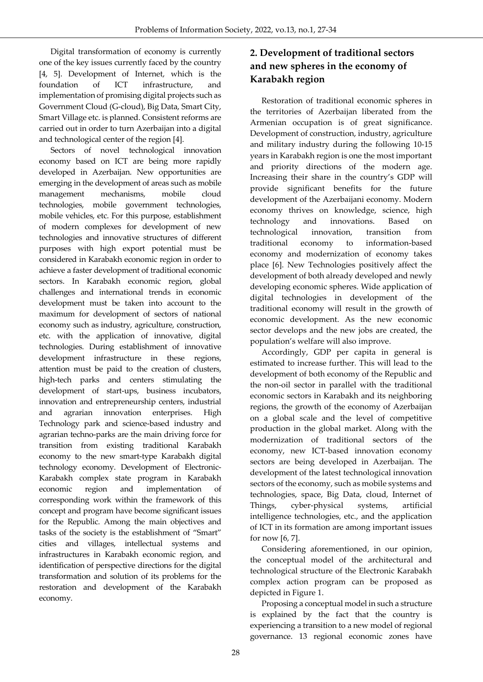Digital transformation of economy is currently one of the key issues currently faced by the country [4, 5]. Development of Internet, which is the foundation of ICT infrastructure, and implementation of promising digital projects such as Government Cloud (G-cloud), Big Data, Smart City, Smart Village etc. is planned. Consistent reforms are carried out in order to turn Azerbaijan into a digital and technological center of the region [4].

Sectors of novel technological innovation economy based on ICT are being more rapidly developed in Azerbaijan. New opportunities are emerging in the development of areas such as mobile management mechanisms, mobile cloud technologies, mobile government technologies, mobile vehicles, etc. For this purpose, establishment of modern complexes for development of new technologies and innovative structures of different purposes with high export potential must be considered in Karabakh economic region in order to achieve a faster development of traditional economic sectors. In Karabakh economic region, global challenges and international trends in economic development must be taken into account to the maximum for development of sectors of national economy such as industry, agriculture, construction, etc. with the application of innovative, digital technologies. During establishment of innovative development infrastructure in these regions, attention must be paid to the creation of clusters, high-tech parks and centers stimulating the development of start-ups, business incubators, innovation and entrepreneurship centers, industrial and agrarian innovation enterprises. High Technology park and science-based industry and agrarian techno-parks are the main driving force for transition from existing traditional Karabakh economy to the new smart-type Karabakh digital technology economy. Development of Electronic-Karabakh complex state program in Karabakh economic region and implementation of corresponding work within the framework of this concept and program have become significant issues for the Republic. Among the main objectives and tasks of the society is the establishment of "Smart" cities and villages, intellectual systems and infrastructures in Karabakh economic region, and identification of perspective directions for the digital transformation and solution of its problems for the restoration and development of the Karabakh economy.

# **2. Development of traditional sectors and new spheres in the economy of Karabakh region**

Restoration of traditional economic spheres in the territories of Azerbaijan liberated from the Armenian occupation is of great significance. Development of construction, industry, agriculture and military industry during the following 10-15 years in Karabakh region is one the most important and priority directions of the modern age. Increasing their share in the country's GDP will provide significant benefits for the future development of the Azerbaijani economy. Modern economy thrives on knowledge, science, high technology and innovations. Based on technological innovation, transition from traditional economy to information-based economy and modernization of economy takes place [6]. New Technologies positively affect the development of both already developed and newly developing economic spheres. Wide application of digital technologies in development of the traditional economy will result in the growth of economic development. As the new economic sector develops and the new jobs are created, the population's welfare will also improve.

Accordingly, GDP per capita in general is estimated to increase further. This will lead to the development of both economy of the Republic and the non-oil sector in parallel with the traditional economic sectors in Karabakh and its neighboring regions, the growth of the economy of Azerbaijan on a global scale and the level of competitive production in the global market. Along with the modernization of traditional sectors of the economy, new ICT-based innovation economy sectors are being developed in Azerbaijan. The development of the latest technological innovation sectors of the economy, such as mobile systems and technologies, space, Big Data, cloud, Internet of Things, cyber-physical systems, artificial intelligence technologies, etc., and the application of ICT in its formation are among important issues for now [6, 7].

Considering aforementioned, in our opinion, the conceptual model of the architectural and technological structure of the Electronic Karabakh complex action program can be proposed as depicted in Figure 1.

Proposing a conceptual model in such a structure is explained by the fact that the country is experiencing a transition to a new model of regional governance. 13 regional economic zones have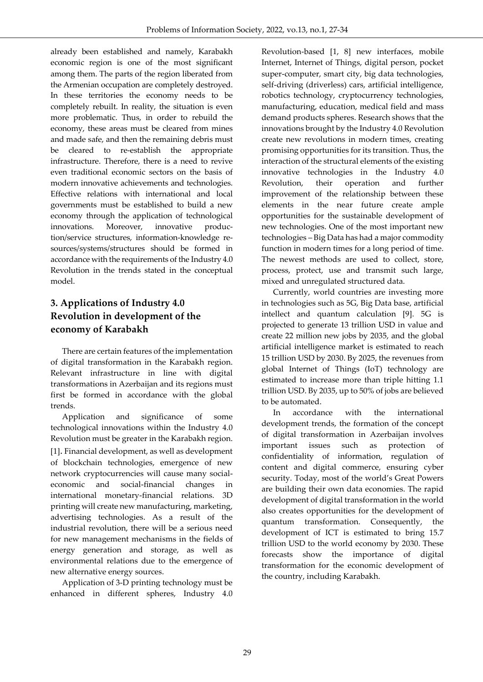already been established and namely, Karabakh economic region is one of the most significant among them. The parts of the region liberated from the Armenian occupation are completely destroyed. In these territories the economy needs to be completely rebuilt. In reality, the situation is even more problematic. Thus, in order to rebuild the economy, these areas must be cleared from mines and made safe, and then the remaining debris must be cleared to re-establish the appropriate infrastructure. Therefore, there is a need to revive even traditional economic sectors on the basis of modern innovative achievements and technologies. Effective relations with international and local governments must be established to build a new economy through the application of technological innovations. Moreover, innovative production/service structures, information-knowledge resources/systems/structures should be formed in accordance with the requirements of the Industry 4.0 Revolution in the trends stated in the conceptual model.

# **3. Applications of Industry 4.0 Revolution in development of the economy of Karabakh**

There are certain features of the implementation of digital transformation in the Karabakh region. Relevant infrastructure in line with digital transformations in Azerbaijan and its regions must first be formed in accordance with the global trends.

Application and significance of some technological innovations within the Industry 4.0 Revolution must be greater in the Karabakh region. [1]. Financial development, as well as development of blockchain technologies, emergence of new network cryptocurrencies will cause many socialeconomic and social-financial changes in international monetary-financial relations. 3D printing will create new manufacturing, marketing, advertising technologies. As a result of the industrial revolution, there will be a serious need for new management mechanisms in the fields of energy generation and storage, as well as environmental relations due to the emergence of new alternative energy sources.

Application of 3-D printing technology must be enhanced in different spheres, Industry 4.0 Revolution-based [1, 8] new interfaces, mobile Internet, Internet of Things, digital person, pocket super-computer, smart city, big data technologies, self-driving (driverless) cars, artificial intelligence, robotics technology, cryptocurrency technologies, manufacturing, education, medical field and mass demand products spheres. Research shows that the innovations brought by the Industry 4.0 Revolution create new revolutions in modern times, creating promising opportunities for its transition. Thus, the interaction of the structural elements of the existing innovative technologies in the Industry 4.0 Revolution, their operation and further improvement of the relationship between these elements in the near future create ample opportunities for the sustainable development of new technologies. One of the most important new technologies – Big Data has had a major commodity function in modern times for a long period of time. The newest methods are used to collect, store, process, protect, use and transmit such large, mixed and unregulated structured data.

Currently, world countries are investing more in technologies such as 5G, Big Data base, artificial intellect and quantum calculation [9]. 5G is projected to generate 13 trillion USD in value and create 22 million new jobs by 2035, and the global artificial intelligence market is estimated to reach 15 trillion USD by 2030. By 2025, the revenues from global Internet of Things (IoT) technology are estimated to increase more than triple hitting 1.1 trillion USD. By 2035, up to 50% of jobs are believed to be automated.

In accordance with the international development trends, the formation of the concept of digital transformation in Azerbaijan involves important issues such as protection of confidentiality of information, regulation of content and digital commerce, ensuring cyber security. Today, most of the world's Great Powers are building their own data economies. The rapid development of digital transformation in the world also creates opportunities for the development of quantum transformation. Consequently, the development of ICT is estimated to bring 15.7 trillion USD to the world economy by 2030. These forecasts show the importance of digital transformation for the economic development of the country, including Karabakh.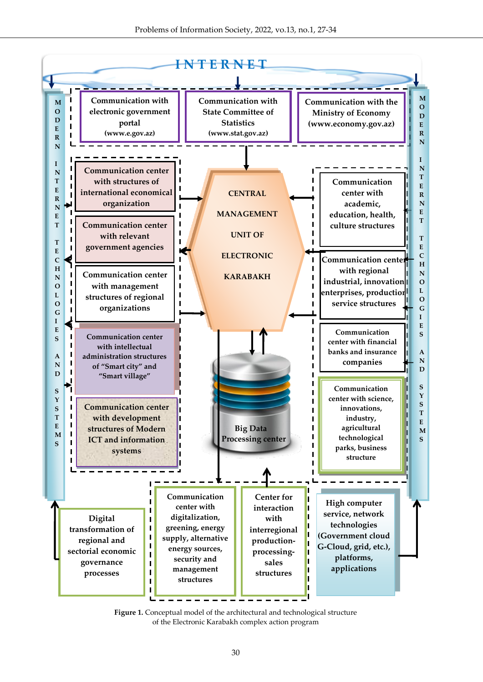

**Figure 1.** Conceptual model of the architectural and technological structure of the Electronic Karabakh complex action program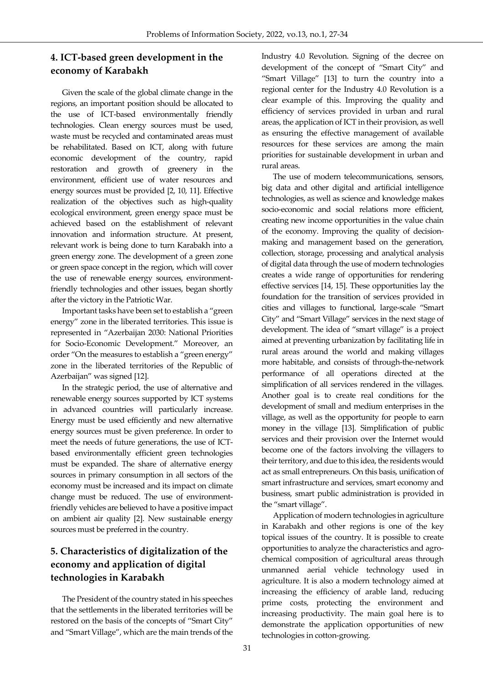### **4. ICT-based green development in the economy of Karabakh**

Given the scale of the global climate change in the regions, an important position should be allocated to the use of ICT-based environmentally friendly technologies. Clean energy sources must be used, waste must be recycled and contaminated areas must be rehabilitated. Based on ICT, along with future economic development of the country, rapid restoration and growth of greenery in the environment, efficient use of water resources and energy sources must be provided [2, 10, 11]. Effective realization of the objectives such as high-quality ecological environment, green energy space must be achieved based on the establishment of relevant innovation and information structure. At present, relevant work is being done to turn Karabakh into a green energy zone. The development of a green zone or green space concept in the region, which will cover the use of renewable energy sources, environmentfriendly technologies and other issues, began shortly after the victory in the Patriotic War.

Important tasks have been set to establish a "green energy" zone in the liberated territories. This issue is represented in "Azerbaijan 2030: National Priorities for Socio-Economic Development." Moreover, an order "On the measures to establish a "green energy" zone in the liberated territories of the Republic of Azerbaijan" was signed [12].

In the strategic period, the use of alternative and renewable energy sources supported by ICT systems in advanced countries will particularly increase. Energy must be used efficiently and new alternative energy sources must be given preference. In order to meet the needs of future generations, the use of ICTbased environmentally efficient green technologies must be expanded. The share of alternative energy sources in primary consumption in all sectors of the economy must be increased and its impact on climate change must be reduced. The use of environmentfriendly vehicles are believed to have a positive impact on ambient air quality [2]. New sustainable energy sources must be preferred in the country.

# **5. Characteristics of digitalization of the economy and application of digital technologies in Karabakh**

The President of the country stated in his speeches that the settlements in the liberated territories will be restored on the basis of the concepts of "Smart City" and "Smart Village", which are the main trends of the Industry 4.0 Revolution. Signing of the decree on development of the concept of "Smart City" and "Smart Village" [13] to turn the country into a regional center for the Industry 4.0 Revolution is a clear example of this. Improving the quality and efficiency of services provided in urban and rural areas, the application of ICT in their provision, as well as ensuring the effective management of available resources for these services are among the main priorities for sustainable development in urban and rural areas.

The use of modern telecommunications, sensors, big data and other digital and artificial intelligence technologies, as well as science and knowledge makes socio-economic and social relations more efficient, creating new income opportunities in the value chain of the economy. Improving the quality of decisionmaking and management based on the generation, collection, storage, processing and analytical analysis of digital data through the use of modern technologies creates a wide range of opportunities for rendering effective services [14, 15]. These opportunities lay the foundation for the transition of services provided in cities and villages to functional, large-scale "Smart City" and "Smart Village" services in the next stage of development. The idea of "smart village" is a project aimed at preventing urbanization by facilitating life in rural areas around the world and making villages more habitable, and consists of through-the-network performance of all operations directed at the simplification of all services rendered in the villages. Another goal is to create real conditions for the development of small and medium enterprises in the village, as well as the opportunity for people to earn money in the village [13]. Simplification of public services and their provision over the Internet would become one of the factors involving the villagers to their territory, and due to this idea, the residents would act as small entrepreneurs. On this basis, unification of smart infrastructure and services, smart economy and business, smart public administration is provided in the "smart village".

Application of modern technologies in agriculture in Karabakh and other regions is one of the key topical issues of the country. It is possible to create opportunities to analyze the characteristics and agrochemical composition of agricultural areas through unmanned aerial vehicle technology used in agriculture. It is also a modern technology aimed at increasing the efficiency of arable land, reducing prime costs, protecting the environment and increasing productivity. The main goal here is to demonstrate the application opportunities of new technologies in cotton-growing.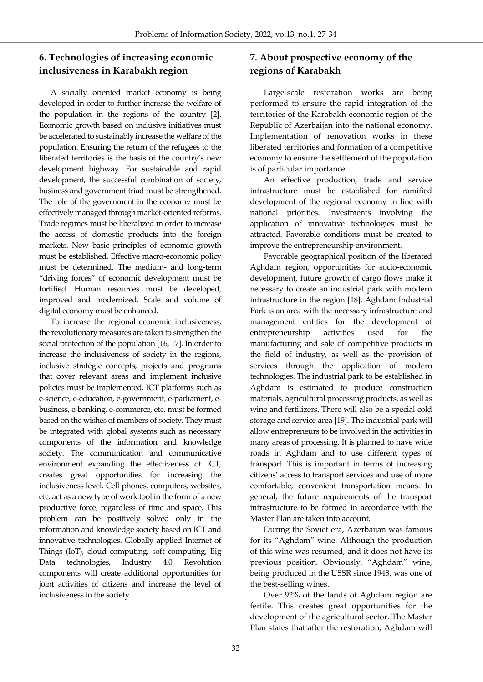### **6. Technologies of increasing economic inclusiveness in Karabakh region**

A socially oriented market economy is being developed in order to further increase the welfare of the population in the regions of the country [2]. Economic growth based on inclusive initiatives must be accelerated to sustainably increase the welfare of the population. Ensuring the return of the refugees to the liberated territories is the basis of the country's new development highway. For sustainable and rapid development, the successful combination of society, business and government triad must be strengthened. The role of the government in the economy must be effectively managed through market-oriented reforms. Trade regimes must be liberalized in order to increase the access of domestic products into the foreign markets. New basic principles of economic growth must be established. Effective macro-economic policy must be determined. The medium- and long-term "driving forces" of economic development must be fortified. Human resources must be developed, improved and modernized. Scale and volume of digital economy must be enhanced.

To increase the regional economic inclusiveness, the revolutionary measures are taken to strengthen the social protection of the population [16, 17]. In order to increase the inclusiveness of society in the regions, inclusive strategic concepts, projects and programs that cover relevant areas and implement inclusive policies must be implemented. ICT platforms such as e-science, e-education, e-government, e-parliament, ebusiness, e-banking, e-commerce, etc. must be formed based on the wishes of members of society. They must be integrated with global systems such as necessary components of the information and knowledge society. The communication and communicative environment expanding the effectiveness of ICT, creates great opportunities for increasing the inclusiveness level. Cell phones, computers, websites, etc. act as a new type of work tool in the form of a new productive force, regardless of time and space. This problem can be positively solved only in the information and knowledge society based on ICT and innovative technologies. Globally applied Internet of Things (IoT), cloud computing, soft computing, Big Data technologies, Industry 4.0 Revolution components will create additional opportunities for joint activities of citizens and increase the level of inclusiveness in the society.

## **7. About prospective economy of the regions of Karabakh**

Large-scale restoration works are being performed to ensure the rapid integration of the territories of the Karabakh economic region of the Republic of Azerbaijan into the national economy. Implementation of renovation works in these liberated territories and formation of a competitive economy to ensure the settlement of the population is of particular importance.

An effective production, trade and service infrastructure must be established for ramified development of the regional economy in line with national priorities. Investments involving the application of innovative technologies must be attracted. Favorable conditions must be created to improve the entrepreneurship environment.

Favorable geographical position of the liberated Aghdam region, opportunities for socio-economic development, future growth of cargo flows make it necessary to create an industrial park with modern infrastructure in the region [18]. Aghdam Industrial Park is an area with the necessary infrastructure and management entities for the development of entrepreneurship activities used for the manufacturing and sale of competitive products in the field of industry, as well as the provision of services through the application of modern technologies. The industrial park to be established in Aghdam is estimated to produce construction materials, agricultural processing products, as well as wine and fertilizers. There will also be a special cold storage and service area [19]. The industrial park will allow entrepreneurs to be involved in the activities in many areas of processing. It is planned to have wide roads in Aghdam and to use different types of transport. This is important in terms of increasing citizens' access to transport services and use of more comfortable, convenient transportation means. In general, the future requirements of the transport infrastructure to be formed in accordance with the Master Plan are taken into account.

During the Soviet era, Azerbaijan was famous for its "Aghdam" wine. Although the production of this wine was resumed, and it does not have its previous position. Obviously, "Aghdam" wine, being produced in the USSR since 1948, was one of the best-selling wines.

Over 92% of the lands of Aghdam region are fertile. This creates great opportunities for the development of the agricultural sector. The Master Plan states that after the restoration, Aghdam will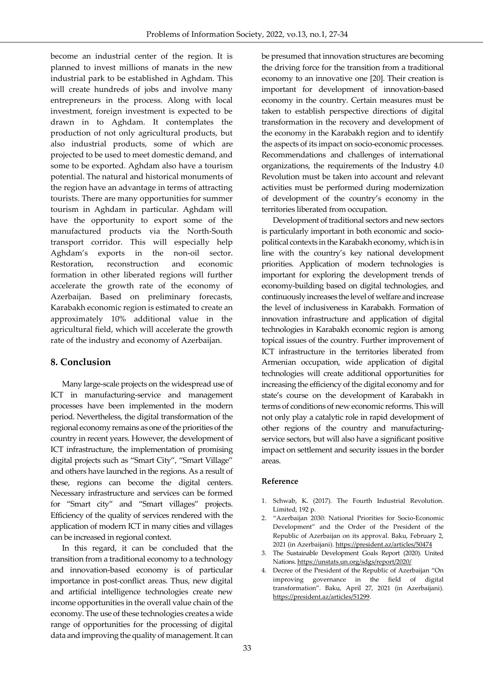become an industrial center of the region. It is planned to invest millions of manats in the new industrial park to be established in Aghdam. This will create hundreds of jobs and involve many entrepreneurs in the process. Along with local investment, foreign investment is expected to be drawn in to Aghdam. It contemplates the production of not only agricultural products, but also industrial products, some of which are projected to be used to meet domestic demand, and some to be exported. Aghdam also have a tourism potential. The natural and historical monuments of the region have an advantage in terms of attracting tourists. There are many opportunities for summer tourism in Aghdam in particular. Aghdam will have the opportunity to export some of the manufactured products via the North-South transport corridor. This will especially help Aghdam's exports in the non-oil sector. Restoration, reconstruction and economic formation in other liberated regions will further accelerate the growth rate of the economy of Azerbaijan. Based on preliminary forecasts, Karabakh economic region is estimated to create an approximately 10% additional value in the agricultural field, which will accelerate the growth rate of the industry and economy of Azerbaijan.

#### **8. Conclusion**

Many large-scale projects on the widespread use of ICT in manufacturing-service and management processes have been implemented in the modern period. Nevertheless, the digital transformation of the regional economy remains as one of the priorities of the country in recent years. However, the development of ICT infrastructure, the implementation of promising digital projects such as "Smart City", "Smart Village" and others have launched in the regions. As a result of these, regions can become the digital centers. Necessary infrastructure and services can be formed for "Smart city" and "Smart villages" projects. Efficiency of the quality of services rendered with the application of modern ICT in many cities and villages can be increased in regional context.

In this regard, it can be concluded that the transition from a traditional economy to a technology and innovation-based economy is of particular importance in post-conflict areas. Thus, new digital and artificial intelligence technologies create new income opportunities in the overall value chain of the economy. The use of these technologies creates a wide range of opportunities for the processing of digital data and improving the quality of management. It can be presumed that innovation structures are becoming the driving force for the transition from a traditional economy to an innovative one [20]. Their creation is important for development of innovation-based economy in the country. Certain measures must be taken to establish perspective directions of digital transformation in the recovery and development of the economy in the Karabakh region and to identify the aspects of its impact on socio-economic processes. Recommendations and challenges of international organizations, the requirements of the Industry 4.0 Revolution must be taken into account and relevant activities must be performed during modernization of development of the country's economy in the territories liberated from occupation.

Development of traditional sectors and new sectors is particularly important in both economic and sociopolitical contexts in the Karabakh economy, which is in line with the country's key national development priorities. Application of modern technologies is important for exploring the development trends of economy-building based on digital technologies, and continuously increases the level of welfare and increase the level of inclusiveness in Karabakh. Formation of innovation infrastructure and application of digital technologies in Karabakh economic region is among topical issues of the country. Further improvement of ICT infrastructure in the territories liberated from Armenian occupation, wide application of digital technologies will create additional opportunities for increasing the efficiency of the digital economy and for state's course on the development of Karabakh in terms of conditions of new economic reforms. This will not only play a catalytic role in rapid development of other regions of the country and manufacturingservice sectors, but will also have a significant positive impact on settlement and security issues in the border areas.

#### **Reference**

- 1. [Schwab,](https://www.google.az/search?tbo=p&tbm=bks&q=inauthor:%22Klaus+Schwab%22&source=gbs_metadata_r&cad=4) K. (2017). The Fourth Industrial Revolution. Limited, 192 p.
- 2. "Azerbaijan 2030: National Priorities for Socio-Economic Development" and the Order of the President of the Republic of Azerbaijan on its approval. Baku, February 2, 2021 (in Azerbaijani). <https://president.az/articles/50474>
- 3. The Sustainable Development Goals Report (2020). United Nations. https://unstats.un.org/sdgs/report/2020/
- 4. Decree of the President of the Republic of Azerbaijan "On improving governance in the field of digital transformation". Baku, April 27, 2021 (in Azerbaijani). <https://president.az/articles/51299>.